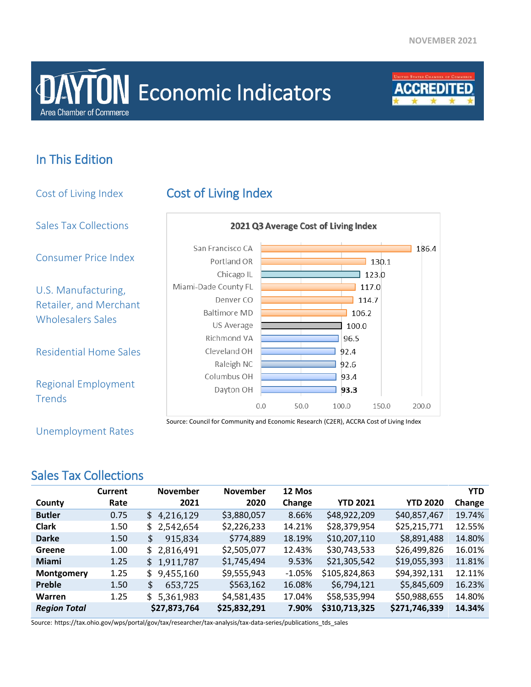# **Area Chamber of Commerce DAYTON** Economic Indicators



## In This Edition

Cost of Living Index Cost of Living Index Sales Tax Collections 2021 Q3 Average Cost of Living Index San Francisco CA  $186.4$ Consumer Price Index Portland OR  $130.1$ Chicago IL  $\overline{\phantom{0}}$  123.0 Miami-Dade County FL  $\overline{1}$  117.0 U.S. Manufacturing, Denver CO  $114.7$ Retailer, and Merchant Baltimore MD 106.2 Wholesalers Sales US Average 100.0 Richmond VA 96.5 Residential Home Sales Cleveland OH 92.4 Raleigh NC 92.6 Columbus OH 93.4 Regional Employment Dayton OH 93.3 **Trends**  $0.0$ 50.0 100.0 150.0 200.0 Source: Council for Community and Economic Research (C2ER), ACCRA Cost of Living Index

Unemployment Rates

## Sales Tax Collections

|                     | Current | <b>November</b> | <b>November</b> | 12 Mos   |                 |                 | <b>YTD</b> |
|---------------------|---------|-----------------|-----------------|----------|-----------------|-----------------|------------|
| County              | Rate    | 2021            | 2020            | Change   | <b>YTD 2021</b> | <b>YTD 2020</b> | Change     |
| <b>Butler</b>       | 0.75    | \$4,216,129     | \$3,880,057     | 8.66%    | \$48,922,209    | \$40,857,467    | 19.74%     |
| <b>Clark</b>        | 1.50    | \$2,542,654     | \$2,226,233     | 14.21%   | \$28,379,954    | \$25,215,771    | 12.55%     |
| <b>Darke</b>        | 1.50    | \$<br>915,834   | \$774,889       | 18.19%   | \$10,207,110    | \$8,891,488     | 14.80%     |
| Greene              | 1.00    | 2,816,491<br>\$ | \$2,505,077     | 12.43%   | \$30,743,533    | \$26,499,826    | 16.01%     |
| <b>Miami</b>        | 1.25    | \$1,911,787     | \$1,745,494     | 9.53%    | \$21,305,542    | \$19,055,393    | 11.81%     |
| <b>Montgomery</b>   | 1.25    | 9,455,160<br>\$ | \$9,555,943     | $-1.05%$ | \$105,824,863   | \$94,392,131    | 12.11%     |
| Preble              | 1.50    | 653,725<br>\$   | \$563,162       | 16.08%   | \$6,794,121     | \$5,845,609     | 16.23%     |
| <b>Warren</b>       | 1.25    | \$5,361,983     | \$4,581,435     | 17.04%   | \$58,535,994    | \$50,988,655    | 14.80%     |
| <b>Region Total</b> |         | \$27,873,764    | \$25,832,291    | 7.90%    | \$310,713,325   | \$271,746,339   | 14.34%     |

Source: https://tax.ohio.gov/wps/portal/gov/tax/researcher/tax-analysis/tax-data-series/publications\_tds\_sales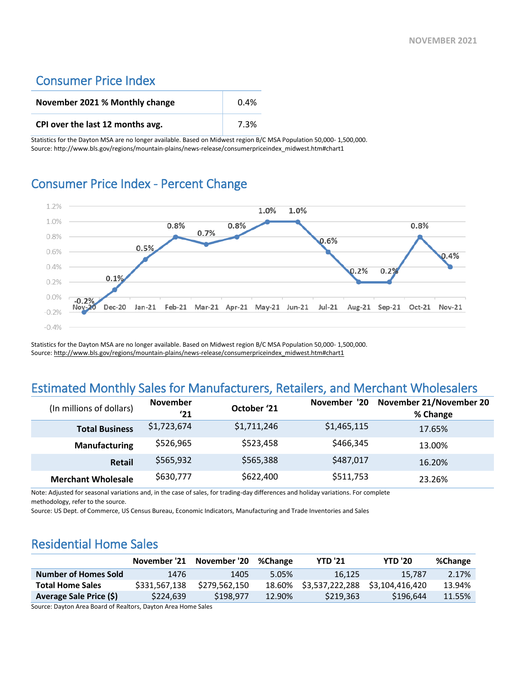### Consumer Price Index

| November 2021 % Monthly change   | $0.4\%$ |
|----------------------------------|---------|
| CPI over the last 12 months avg. | 7.3%    |

Statistics for the Dayton MSA are no longer available. Based on Midwest region B/C MSA Population 50,000- 1,500,000. Source: http://www.bls.gov/regions/mountain-plains/news-release/consumerpriceindex\_midwest.htm#chart1

#### Consumer Price Index - Percent Change



Statistics for the Dayton MSA are no longer available. Based on Midwest region B/C MSA Population 50,000- 1,500,000. Source[: http://www.bls.gov/regions/mountain-plains/news-release/consumerpriceindex\\_midwest.htm#chart1](http://www.bls.gov/regions/mountain-plains/news-release/consumerpriceindex_midwest.htm#chart1)

## Estimated Monthly Sales for Manufacturers, Retailers, and Merchant Wholesalers

| (In millions of dollars)  | <b>November</b><br>'21 | October '21 | November '20 | November 21/November 20<br>% Change |
|---------------------------|------------------------|-------------|--------------|-------------------------------------|
| <b>Total Business</b>     | \$1,723,674            | \$1,711,246 | \$1,465,115  | 17.65%                              |
| <b>Manufacturing</b>      | \$526,965              | \$523,458   | \$466,345    | 13.00%                              |
| <b>Retail</b>             | \$565,932              | \$565,388   | \$487,017    | 16.20%                              |
| <b>Merchant Wholesale</b> | \$630,777              | \$622,400   | \$511,753    | 23.26%                              |

Note: Adjusted for seasonal variations and, in the case of sales, for trading-day differences and holiday variations. For complete methodology, refer to the source.

Source: US Dept. of Commerce, US Census Bureau, Economic Indicators, Manufacturing and Trade Inventories and Sales

## Residential Home Sales

|                             | November '21  | November '20  | %Change | <b>YTD '21</b>  | <b>YTD '20</b>  | %Change |
|-----------------------------|---------------|---------------|---------|-----------------|-----------------|---------|
| <b>Number of Homes Sold</b> | 1476          | 1405          | 5.05%   | 16.125          | 15.787          | 2.17%   |
| <b>Total Home Sales</b>     | \$331,567,138 | \$279.562.150 | 18.60%  | \$3,537,222,288 | \$3.104.416.420 | 13.94%  |
| Average Sale Price (\$)     | \$224.639     | \$198,977     | 12.90%  | \$219,363       | \$196.644       | 11.55%  |

Source: Dayton Area Board of Realtors, Dayton Area Home Sales